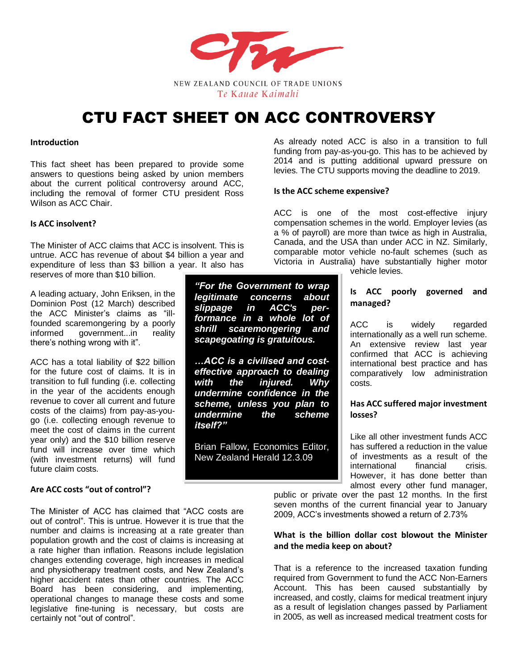

# CTU FACT SHEET ON ACC CONTROVERSY

#### **Introduction**

This fact sheet has been prepared to provide some answers to questions being asked by union members about the current political controversy around ACC, including the removal of former CTU president Ross Wilson as ACC Chair.

# **Is ACC insolvent?**

The Minister of ACC claims that ACC is insolvent. This is untrue. ACC has revenue of about \$4 billion a year and expenditure of less than \$3 billion a year. It also has reserves of more than \$10 billion.

A leading actuary, John Eriksen, in the Dominion Post (12 March) described the ACC Minister's claims as "illfounded scaremongering by a poorly informed government...in reality there's nothing wrong with it".

ACC has a total liability of \$22 billion for the future cost of claims. It is in transition to full funding (i.e. collecting in the year of the accidents enough revenue to cover all current and future costs of the claims) from pay-as-yougo (i.e. collecting enough revenue to meet the cost of claims in the current year only) and the \$10 billion reserve fund will increase over time which (with investment returns) will fund future claim costs.

#### **Are ACC costs "out of control"?**

The Minister of ACC has claimed that "ACC costs are out of control". This is untrue. However it is true that the number and claims is increasing at a rate greater than population growth and the cost of claims is increasing at a rate higher than inflation. Reasons include legislation changes extending coverage, high increases in medical and physiotherapy treatment costs, and New Zealand's higher accident rates than other countries. The ACC Board has been considering, and implementing, operational changes to manage these costs and some legislative fine-tuning is necessary, but costs are certainly not "out of control".

As already noted ACC is also in a transition to full funding from pay-as-you-go. This has to be achieved by 2014 and is putting additional upward pressure on levies. The CTU supports moving the deadline to 2019.

#### **Is the ACC scheme expensive?**

ACC is one of the most cost-effective injury compensation schemes in the world. Employer levies (as a % of payroll) are more than twice as high in Australia, Canada, and the USA than under ACC in NZ. Similarly, comparable motor vehicle no-fault schemes (such as Victoria in Australia) have substantially higher motor

vehicle levies.

# **Is ACC poorly governed and managed?**

ACC is widely regarded internationally as a well run scheme. An extensive review last year confirmed that ACC is achieving international best practice and has comparatively low administration costs.

### **Has ACC suffered major investment losses?**

Like all other investment funds ACC has suffered a reduction in the value of investments as a result of the international financial crisis. However, it has done better than almost every other fund manager,

public or private over the past 12 months. In the first seven months of the current financial year to January 2009, ACC's investments showed a return of 2.73%

# **What is the billion dollar cost blowout the Minister and the media keep on about?**

That is a reference to the increased taxation funding required from Government to fund the ACC Non-Earners Account. This has been caused substantially by increased, and costly, claims for medical treatment injury as a result of legislation changes passed by Parliament in 2005, as well as increased medical treatment costs for

*"For the Government to wrap legitimate concerns about slippage in ACC's performance in a whole lot of shrill scaremongering and scapegoating is gratuitous.*

*…ACC is a civilised and costeffective approach to dealing with the injured. Why undermine confidence in the scheme, unless you plan to undermine the scheme itself?"* 

Brian Fallow, Economics Editor, New Zealand Herald 12.3.09